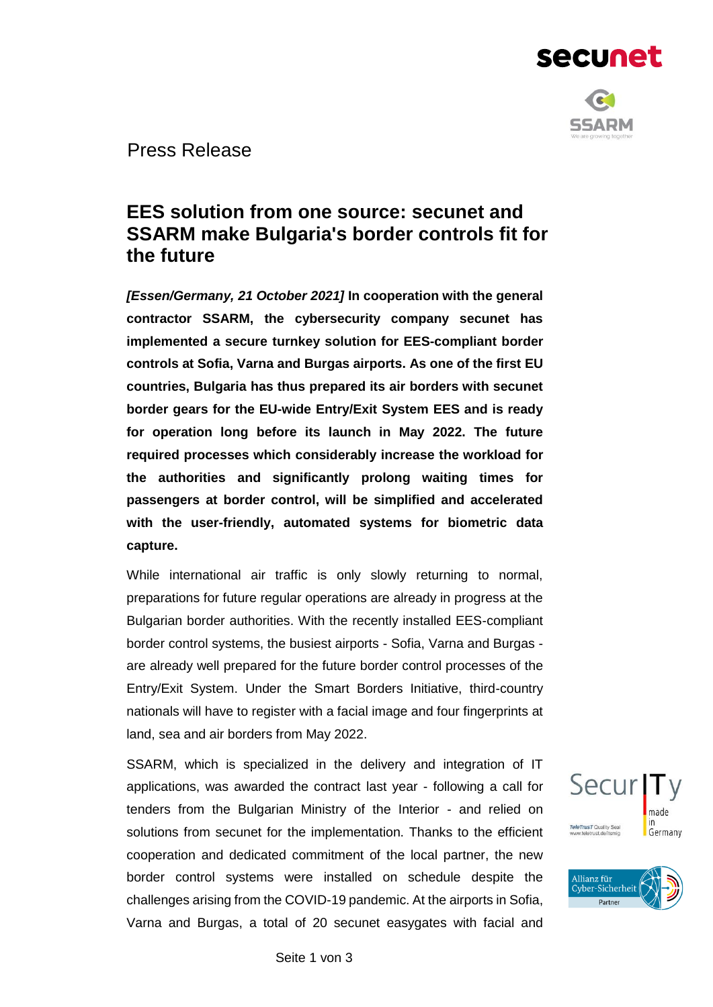



Press Release

# **EES solution from one source: secunet and SSARM make Bulgaria's border controls fit for the future**

*[Essen/Germany, 21 October 2021]* **In cooperation with the general contractor SSARM, the cybersecurity company secunet has implemented a secure turnkey solution for EES-compliant border controls at Sofia, Varna and Burgas airports. As one of the first EU countries, Bulgaria has thus prepared its air borders with secunet border gears for the EU-wide Entry/Exit System EES and is ready for operation long before its launch in May 2022. The future required processes which considerably increase the workload for the authorities and significantly prolong waiting times for passengers at border control, will be simplified and accelerated with the user-friendly, automated systems for biometric data capture.**

While international air traffic is only slowly returning to normal, preparations for future regular operations are already in progress at the Bulgarian border authorities. With the recently installed EES-compliant border control systems, the busiest airports - Sofia, Varna and Burgas are already well prepared for the future border control processes of the Entry/Exit System. Under the Smart Borders Initiative, third-country nationals will have to register with a facial image and four fingerprints at land, sea and air borders from May 2022.

SSARM, which is specialized in the delivery and integration of IT applications, was awarded the contract last year - following a call for tenders from the Bulgarian Ministry of the Interior - and relied on solutions from secunet for the implementation. Thanks to the efficient cooperation and dedicated commitment of the local partner, the new border control systems were installed on schedule despite the challenges arising from the COVID-19 pandemic. At the airports in Sofia, Varna and Burgas, a total of 20 secunet easygates with facial and



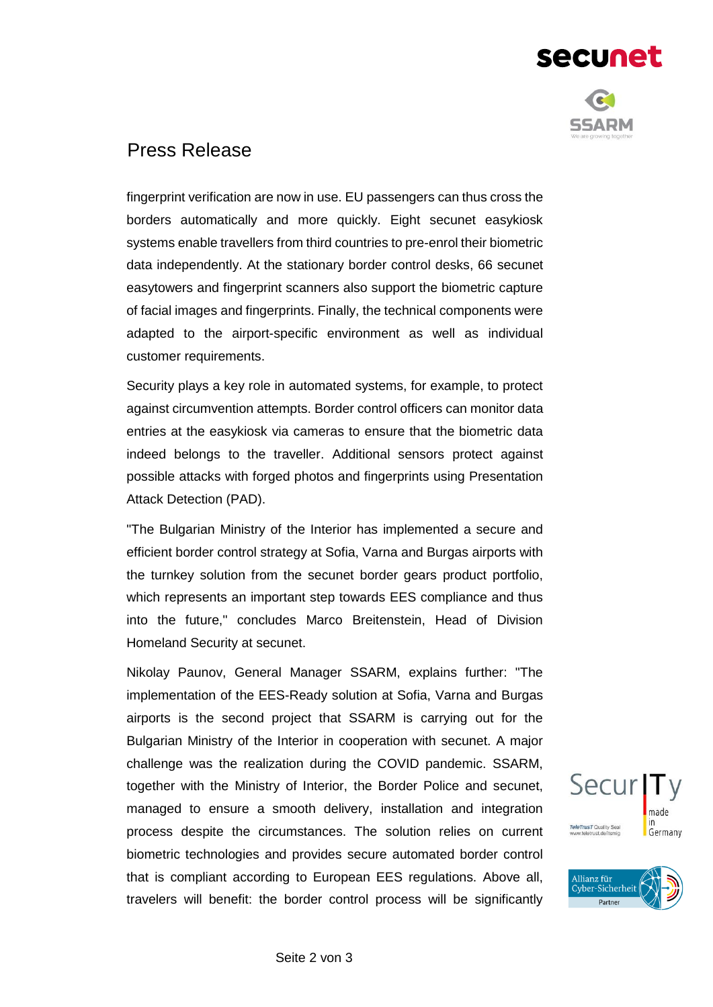

secunet

### Press Release

fingerprint verification are now in use. EU passengers can thus cross the borders automatically and more quickly. Eight secunet easykiosk systems enable travellers from third countries to pre-enrol their biometric data independently. At the stationary border control desks, 66 secunet easytowers and fingerprint scanners also support the biometric capture of facial images and fingerprints. Finally, the technical components were adapted to the airport-specific environment as well as individual customer requirements.

Security plays a key role in automated systems, for example, to protect against circumvention attempts. Border control officers can monitor data entries at the easykiosk via cameras to ensure that the biometric data indeed belongs to the traveller. Additional sensors protect against possible attacks with forged photos and fingerprints using Presentation Attack Detection (PAD).

"The Bulgarian Ministry of the Interior has implemented a secure and efficient border control strategy at Sofia, Varna and Burgas airports with the turnkey solution from the secunet border gears product portfolio, which represents an important step towards EES compliance and thus into the future," concludes Marco Breitenstein, Head of Division Homeland Security at secunet.

Nikolay Paunov, General Manager SSARM, explains further: "The implementation of the EES-Ready solution at Sofia, Varna and Burgas airports is the second project that SSARM is carrying out for the Bulgarian Ministry of the Interior in cooperation with secunet. A major challenge was the realization during the COVID pandemic. SSARM, together with the Ministry of Interior, the Border Police and secunet, managed to ensure a smooth delivery, installation and integration process despite the circumstances. The solution relies on current biometric technologies and provides secure automated border control that is compliant according to European EES regulations. Above all, travelers will benefit: the border control process will be significantly